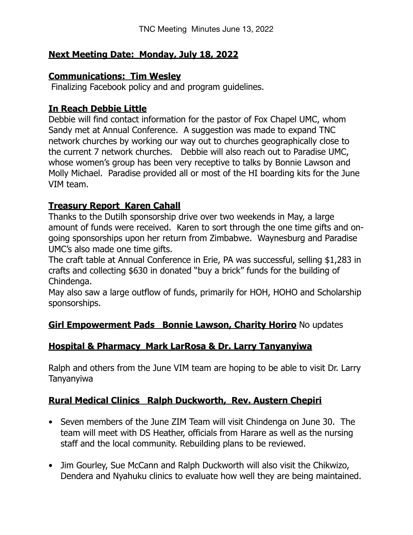## **Next Meeting Date: Monday, July 18, 2022**

### **Communications: Tim Wesley**

Finalizing Facebook policy and and program guidelines.

## **In Reach Debbie Little**

Debbie will find contact information for the pastor of Fox Chapel UMC, whom Sandy met at Annual Conference. A suggestion was made to expand TNC network churches by working our way out to churches geographically close to the current 7 network churches. Debbie will also reach out to Paradise UMC, whose women's group has been very receptive to talks by Bonnie Lawson and Molly Michael. Paradise provided all or most of the HI boarding kits for the June VIM team.

# **Treasury Report Karen Cahall**

Thanks to the Dutilh sponsorship drive over two weekends in May, a large amount of funds were received. Karen to sort through the one time gifts and ongoing sponsorships upon her return from Zimbabwe. Waynesburg and Paradise UMC's also made one time gifts.

The craft table at Annual Conference in Erie, PA was successful, selling \$1,283 in crafts and collecting \$630 in donated "buy a brick" funds for the building of Chindenga.

May also saw a large outflow of funds, primarily for HOH, HOHO and Scholarship sponsorships.

## **Girl Empowerment Pads Bonnie Lawson, Charity Horiro** No updates

## **Hospital & Pharmacy Mark LarRosa & Dr. Larry Tanyanyiwa**

Ralph and others from the June VIM team are hoping to be able to visit Dr. Larry Tanyanyiwa

# **Rural Medical Clinics Ralph Duckworth, Rev. Austern Chepiri**

- Seven members of the June ZIM Team will visit Chindenga on June 30. The team will meet with DS Heather, officials from Harare as well as the nursing staff and the local community. Rebuilding plans to be reviewed.
- Jim Gourley, Sue McCann and Ralph Duckworth will also visit the Chikwizo, Dendera and Nyahuku clinics to evaluate how well they are being maintained.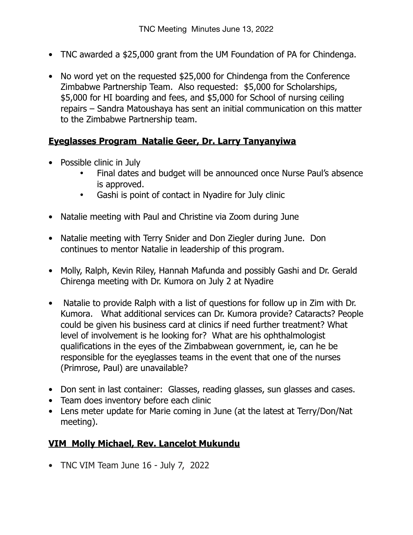- TNC awarded a \$25,000 grant from the UM Foundation of PA for Chindenga.
- No word yet on the requested \$25,000 for Chindenga from the Conference Zimbabwe Partnership Team. Also requested: \$5,000 for Scholarships, \$5,000 for HI boarding and fees, and \$5,000 for School of nursing ceiling repairs – Sandra Matoushaya has sent an initial communication on this matter to the Zimbabwe Partnership team.

## **Eyeglasses Program Natalie Geer, Dr. Larry Tanyanyiwa**

- Possible clinic in July
	- Final dates and budget will be announced once Nurse Paul's absence is approved.
	- Gashi is point of contact in Nyadire for July clinic
- Natalie meeting with Paul and Christine via Zoom during June
- Natalie meeting with Terry Snider and Don Ziegler during June. Don continues to mentor Natalie in leadership of this program.
- Molly, Ralph, Kevin Riley, Hannah Mafunda and possibly Gashi and Dr. Gerald Chirenga meeting with Dr. Kumora on July 2 at Nyadire
- Natalie to provide Ralph with a list of questions for follow up in Zim with Dr. Kumora. What additional services can Dr. Kumora provide? Cataracts? People could be given his business card at clinics if need further treatment? What level of involvement is he looking for? What are his ophthalmologist qualifications in the eyes of the Zimbabwean government, ie, can he be responsible for the eyeglasses teams in the event that one of the nurses (Primrose, Paul) are unavailable?
- Don sent in last container: Glasses, reading glasses, sun glasses and cases.
- Team does inventory before each clinic
- Lens meter update for Marie coming in June (at the latest at Terry/Don/Nat meeting).

# **VIM Molly Michael, Rev. Lancelot Mukundu**

• TNC VIM Team June 16 - July 7, 2022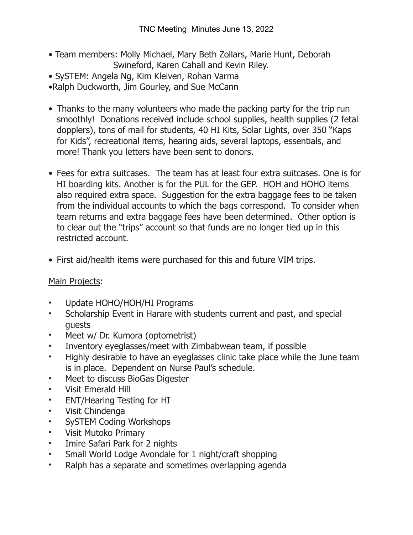- Team members: Molly Michael, Mary Beth Zollars, Marie Hunt, Deborah Swineford, Karen Cahall and Kevin Riley.
- SySTEM: Angela Ng, Kim Kleiven, Rohan Varma
- •Ralph Duckworth, Jim Gourley, and Sue McCann
- Thanks to the many volunteers who made the packing party for the trip run smoothly! Donations received include school supplies, health supplies (2 fetal dopplers), tons of mail for students, 40 HI Kits, Solar Lights, over 350 "Kaps for Kids", recreational items, hearing aids, several laptops, essentials, and more! Thank you letters have been sent to donors.
- Fees for extra suitcases. The team has at least four extra suitcases. One is for HI boarding kits. Another is for the PUL for the GEP. HOH and HOHO items also required extra space. Suggestion for the extra baggage fees to be taken from the individual accounts to which the bags correspond. To consider when team returns and extra baggage fees have been determined. Other option is to clear out the "trips" account so that funds are no longer tied up in this restricted account.
- First aid/health items were purchased for this and future VIM trips.

## Main Projects:

- Update HOHO/HOH/HI Programs
- Scholarship Event in Harare with students current and past, and special guests
- Meet w/ Dr. Kumora (optometrist)
- Inventory eyeglasses/meet with Zimbabwean team, if possible
- Highly desirable to have an eyeglasses clinic take place while the June team is in place. Dependent on Nurse Paul's schedule.
- Meet to discuss BioGas Digester
- Visit Emerald Hill
- ENT/Hearing Testing for HI
- Visit Chindenga
- SySTEM Coding Workshops
- Visit Mutoko Primary
- Imire Safari Park for 2 nights
- Small World Lodge Avondale for 1 night/craft shopping
- Ralph has a separate and sometimes overlapping agenda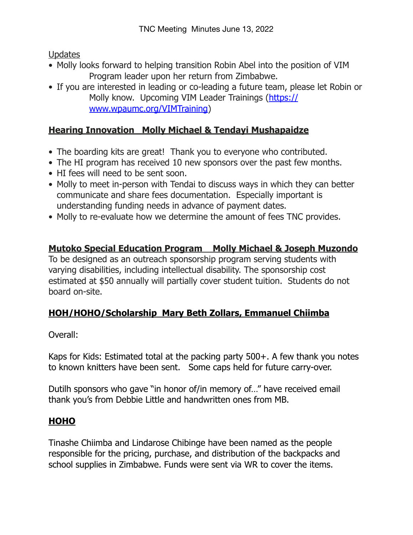**Updates** 

- Molly looks forward to helping transition Robin Abel into the position of VIM Program leader upon her return from Zimbabwe.
- If you are interested in leading or co-leading a future team, please let Robin or Molly know. Upcoming VIM Leader Trainings ([https://](https://www.wpaumc.org/VIMTraining) [www.wpaumc.org/VIMTraining](https://www.wpaumc.org/VIMTraining))

# **Hearing Innovation Molly Michael & Tendayi Mushapaidze**

- The boarding kits are great! Thank you to everyone who contributed.
- The HI program has received 10 new sponsors over the past few months.
- HI fees will need to be sent soon.
- Molly to meet in-person with Tendai to discuss ways in which they can better communicate and share fees documentation. Especially important is understanding funding needs in advance of payment dates.
- Molly to re-evaluate how we determine the amount of fees TNC provides.

# **Mutoko Special Education Program Molly Michael & Joseph Muzondo**

To be designed as an outreach sponsorship program serving students with varying disabilities, including intellectual disability. The sponsorship cost estimated at \$50 annually will partially cover student tuition. Students do not board on-site.

# **HOH/HOHO/Scholarship Mary Beth Zollars, Emmanuel Chiimba**

Overall:

Kaps for Kids: Estimated total at the packing party 500+. A few thank you notes to known knitters have been sent. Some caps held for future carry-over.

Dutilh sponsors who gave "in honor of/in memory of…" have received email thank you's from Debbie Little and handwritten ones from MB.

# **HOHO**

Tinashe Chiimba and Lindarose Chibinge have been named as the people responsible for the pricing, purchase, and distribution of the backpacks and school supplies in Zimbabwe. Funds were sent via WR to cover the items.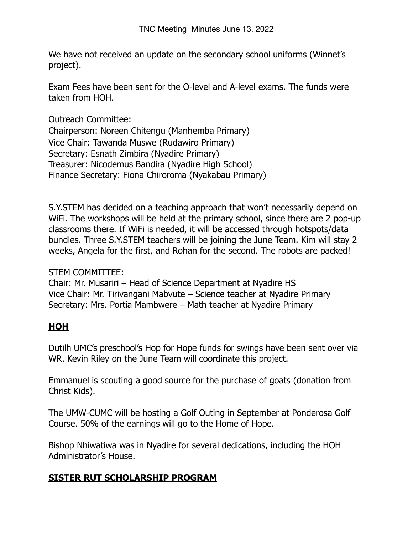We have not received an update on the secondary school uniforms (Winnet's project).

Exam Fees have been sent for the O-level and A-level exams. The funds were taken from HOH.

Outreach Committee:

Chairperson: Noreen Chitengu (Manhemba Primary) Vice Chair: Tawanda Muswe (Rudawiro Primary) Secretary: Esnath Zimbira (Nyadire Primary) Treasurer: Nicodemus Bandira (Nyadire High School) Finance Secretary: Fiona Chiroroma (Nyakabau Primary)

S.Y.STEM has decided on a teaching approach that won't necessarily depend on WiFi. The workshops will be held at the primary school, since there are 2 pop-up classrooms there. If WiFi is needed, it will be accessed through hotspots/data bundles. Three S.Y.STEM teachers will be joining the June Team. Kim will stay 2 weeks, Angela for the first, and Rohan for the second. The robots are packed!

### STEM COMMITTEE:

Chair: Mr. Musariri – Head of Science Department at Nyadire HS Vice Chair: Mr. Tirivangani Mabvute – Science teacher at Nyadire Primary Secretary: Mrs. Portia Mambwere – Math teacher at Nyadire Primary

# **HOH**

Dutilh UMC's preschool's Hop for Hope funds for swings have been sent over via WR. Kevin Riley on the June Team will coordinate this project.

Emmanuel is scouting a good source for the purchase of goats (donation from Christ Kids).

The UMW-CUMC will be hosting a Golf Outing in September at Ponderosa Golf Course. 50% of the earnings will go to the Home of Hope.

Bishop Nhiwatiwa was in Nyadire for several dedications, including the HOH Administrator's House.

## **SISTER RUT SCHOLARSHIP PROGRAM**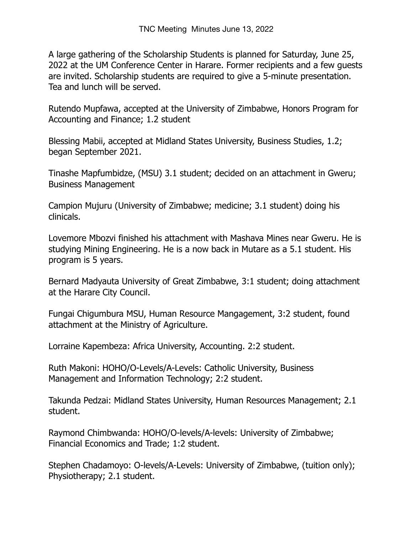A large gathering of the Scholarship Students is planned for Saturday, June 25, 2022 at the UM Conference Center in Harare. Former recipients and a few guests are invited. Scholarship students are required to give a 5-minute presentation. Tea and lunch will be served.

Rutendo Mupfawa, accepted at the University of Zimbabwe, Honors Program for Accounting and Finance; 1.2 student

Blessing Mabii, accepted at Midland States University, Business Studies, 1.2; began September 2021.

Tinashe Mapfumbidze, (MSU) 3.1 student; decided on an attachment in Gweru; Business Management

Campion Mujuru (University of Zimbabwe; medicine; 3.1 student) doing his clinicals.

Lovemore Mbozvi finished his attachment with Mashava Mines near Gweru. He is studying Mining Engineering. He is a now back in Mutare as a 5.1 student. His program is 5 years.

Bernard Madyauta University of Great Zimbabwe, 3:1 student; doing attachment at the Harare City Council.

Fungai Chigumbura MSU, Human Resource Mangagement, 3:2 student, found attachment at the Ministry of Agriculture.

Lorraine Kapembeza: Africa University, Accounting. 2:2 student.

Ruth Makoni: HOHO/O-Levels/A-Levels: Catholic University, Business Management and Information Technology; 2:2 student.

Takunda Pedzai: Midland States University, Human Resources Management; 2.1 student.

Raymond Chimbwanda: HOHO/O-levels/A-levels: University of Zimbabwe; Financial Economics and Trade; 1:2 student.

Stephen Chadamoyo: O-levels/A-Levels: University of Zimbabwe, (tuition only); Physiotherapy; 2.1 student.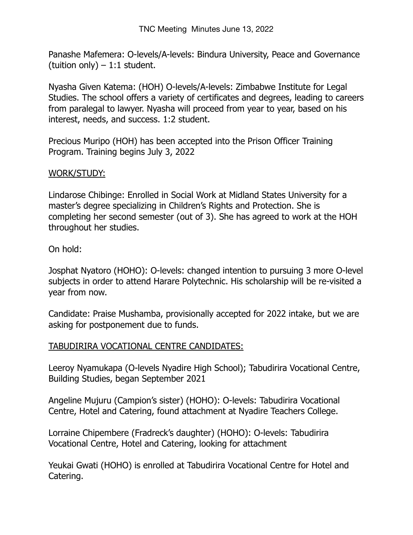Panashe Mafemera: O-levels/A-levels: Bindura University, Peace and Governance (tuition only)  $-1:1$  student.

Nyasha Given Katema: (HOH) O-levels/A-levels: Zimbabwe Institute for Legal Studies. The school offers a variety of certificates and degrees, leading to careers from paralegal to lawyer. Nyasha will proceed from year to year, based on his interest, needs, and success. 1:2 student.

Precious Muripo (HOH) has been accepted into the Prison Officer Training Program. Training begins July 3, 2022

#### WORK/STUDY:

Lindarose Chibinge: Enrolled in Social Work at Midland States University for a master's degree specializing in Children's Rights and Protection. She is completing her second semester (out of 3). She has agreed to work at the HOH throughout her studies.

#### On hold:

Josphat Nyatoro (HOHO): O-levels: changed intention to pursuing 3 more O-level subjects in order to attend Harare Polytechnic. His scholarship will be re-visited a year from now.

Candidate: Praise Mushamba, provisionally accepted for 2022 intake, but we are asking for postponement due to funds.

#### TABUDIRIRA VOCATIONAL CENTRE CANDIDATES:

Leeroy Nyamukapa (O-levels Nyadire High School); Tabudirira Vocational Centre, Building Studies, began September 2021

Angeline Mujuru (Campion's sister) (HOHO): O-levels: Tabudirira Vocational Centre, Hotel and Catering, found attachment at Nyadire Teachers College.

Lorraine Chipembere (Fradreck's daughter) (HOHO): O-levels: Tabudirira Vocational Centre, Hotel and Catering, looking for attachment

Yeukai Gwati (HOHO) is enrolled at Tabudirira Vocational Centre for Hotel and Catering.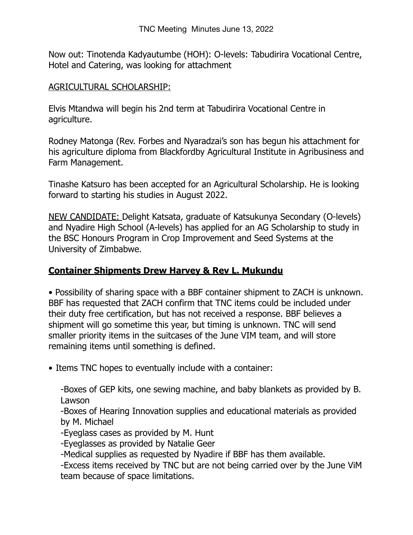Now out: Tinotenda Kadyautumbe (HOH): O-levels: Tabudirira Vocational Centre, Hotel and Catering, was looking for attachment

#### AGRICULTURAL SCHOLARSHIP:

Elvis Mtandwa will begin his 2nd term at Tabudirira Vocational Centre in agriculture.

Rodney Matonga (Rev. Forbes and Nyaradzai's son has begun his attachment for his agriculture diploma from Blackfordby Agricultural Institute in Agribusiness and Farm Management.

Tinashe Katsuro has been accepted for an Agricultural Scholarship. He is looking forward to starting his studies in August 2022.

NEW CANDIDATE: Delight Katsata, graduate of Katsukunya Secondary (O-levels) and Nyadire High School (A-levels) has applied for an AG Scholarship to study in the BSC Honours Program in Crop Improvement and Seed Systems at the University of Zimbabwe.

# **Container Shipments Drew Harvey & Rev L. Mukundu**

• Possibility of sharing space with a BBF container shipment to ZACH is unknown. BBF has requested that ZACH confirm that TNC items could be included under their duty free certification, but has not received a response. BBF believes a shipment will go sometime this year, but timing is unknown. TNC will send smaller priority items in the suitcases of the June VIM team, and will store remaining items until something is defined.

• Items TNC hopes to eventually include with a container:

-Boxes of GEP kits, one sewing machine, and baby blankets as provided by B. Lawson

-Boxes of Hearing Innovation supplies and educational materials as provided by M. Michael

-Eyeglass cases as provided by M. Hunt

-Eyeglasses as provided by Natalie Geer

-Medical supplies as requested by Nyadire if BBF has them available.

-Excess items received by TNC but are not being carried over by the June ViM team because of space limitations.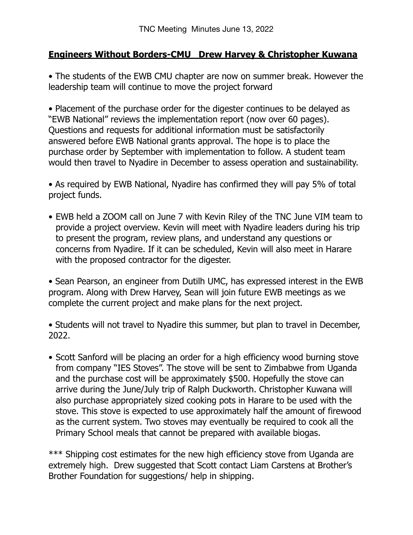## **Engineers Without Borders-CMU Drew Harvey & Christopher Kuwana**

• The students of the EWB CMU chapter are now on summer break. However the leadership team will continue to move the project forward

• Placement of the purchase order for the digester continues to be delayed as "EWB National" reviews the implementation report (now over 60 pages). Questions and requests for additional information must be satisfactorily answered before EWB National grants approval. The hope is to place the purchase order by September with implementation to follow. A student team would then travel to Nyadire in December to assess operation and sustainability.

• As required by EWB National, Nyadire has confirmed they will pay 5% of total project funds.

• EWB held a ZOOM call on June 7 with Kevin Riley of the TNC June VIM team to provide a project overview. Kevin will meet with Nyadire leaders during his trip to present the program, review plans, and understand any questions or concerns from Nyadire. If it can be scheduled, Kevin will also meet in Harare with the proposed contractor for the digester.

• Sean Pearson, an engineer from Dutilh UMC, has expressed interest in the EWB program. Along with Drew Harvey, Sean will join future EWB meetings as we complete the current project and make plans for the next project.

• Students will not travel to Nyadire this summer, but plan to travel in December, 2022.

• Scott Sanford will be placing an order for a high efficiency wood burning stove from company "IES Stoves". The stove will be sent to Zimbabwe from Uganda and the purchase cost will be approximately \$500. Hopefully the stove can arrive during the June/July trip of Ralph Duckworth. Christopher Kuwana will also purchase appropriately sized cooking pots in Harare to be used with the stove. This stove is expected to use approximately half the amount of firewood as the current system. Two stoves may eventually be required to cook all the Primary School meals that cannot be prepared with available biogas.

\*\*\* Shipping cost estimates for the new high efficiency stove from Uganda are extremely high. Drew suggested that Scott contact Liam Carstens at Brother's Brother Foundation for suggestions/ help in shipping.